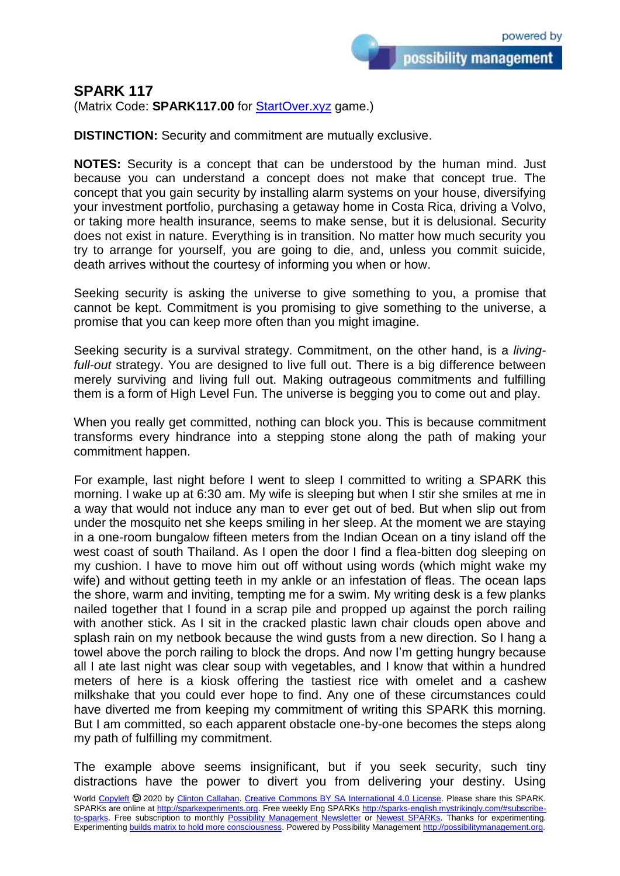possibility management

(Matrix Code: **SPARK117.00** for **StartOver.xyz** game.)

**DISTINCTION:** Security and commitment are mutually exclusive.

**NOTES:** Security is a concept that can be understood by the human mind. Just because you can understand a concept does not make that concept true. The concept that you gain security by installing alarm systems on your house, diversifying your investment portfolio, purchasing a getaway home in Costa Rica, driving a Volvo, or taking more health insurance, seems to make sense, but it is delusional. Security does not exist in nature. Everything is in transition. No matter how much security you try to arrange for yourself, you are going to die, and, unless you commit suicide, death arrives without the courtesy of informing you when or how.

Seeking security is asking the universe to give something to you, a promise that cannot be kept. Commitment is you promising to give something to the universe, a promise that you can keep more often than you might imagine.

Seeking security is a survival strategy. Commitment, on the other hand, is a *living*full-out strategy. You are designed to live full out. There is a big difference between merely surviving and living full out. Making outrageous commitments and fulfilling them is a form of High Level Fun. The universe is begging you to come out and play.

When you really get committed, nothing can block you. This is because commitment transforms every hindrance into a stepping stone along the path of making your commitment happen.

For example, last night before I went to sleep I committed to writing a SPARK this morning. I wake up at 6:30 am. My wife is sleeping but when I stir she smiles at me in a way that would not induce any man to ever get out of bed. But when slip out from under the mosquito net she keeps smiling in her sleep. At the moment we are staying in a one-room bungalow fifteen meters from the Indian Ocean on a tiny island off the west coast of south Thailand. As I open the door I find a flea-bitten dog sleeping on my cushion. I have to move him out off without using words (which might wake my wife) and without getting teeth in my ankle or an infestation of fleas. The ocean laps the shore, warm and inviting, tempting me for a swim. My writing desk is a few planks nailed together that I found in a scrap pile and propped up against the porch railing with another stick. As I sit in the cracked plastic lawn chair clouds open above and splash rain on my netbook because the wind gusts from a new direction. So I hang a towel above the porch railing to block the drops. And now I'm getting hungry because all I ate last night was clear soup with vegetables, and I know that within a hundred meters of here is a kiosk offering the tastiest rice with omelet and a cashew milkshake that you could ever hope to find. Any one of these circumstances could have diverted me from keeping my commitment of writing this SPARK this morning. But I am committed, so each apparent obstacle one-by-one becomes the steps along my path of fulfilling my commitment.

The example above seems insignificant, but if you seek security, such tiny distractions have the power to divert you from delivering your destiny. Using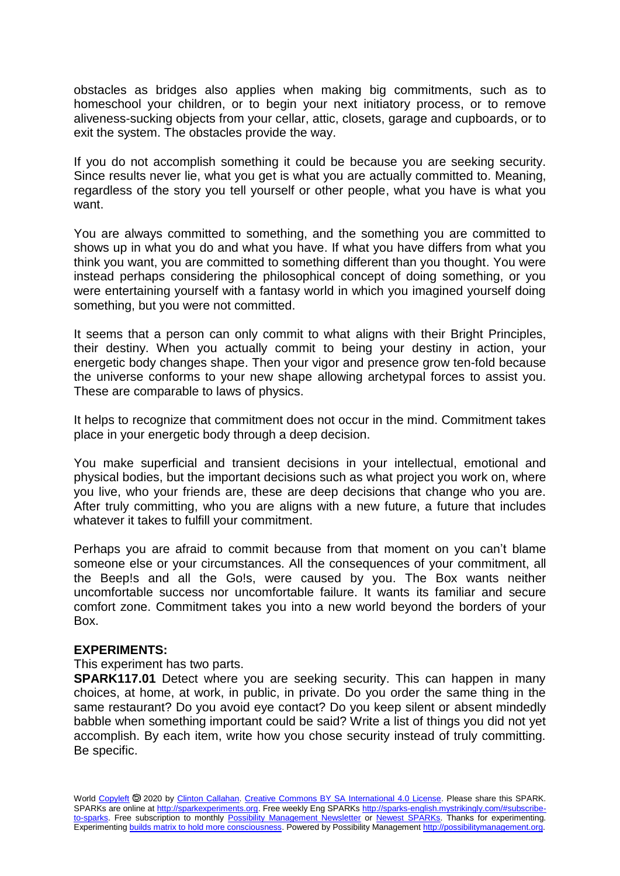obstacles as bridges also applies when making big commitments, such as to homeschool your children, or to begin your next initiatory process, or to remove aliveness-sucking objects from your cellar, attic, closets, garage and cupboards, or to exit the system. The obstacles provide the way.

If you do not accomplish something it could be because you are seeking security. Since results never lie, what you get is what you are actually committed to. Meaning, regardless of the story you tell yourself or other people, what you have is what you want.

You are always committed to something, and the something you are committed to shows up in what you do and what you have. If what you have differs from what you think you want, you are committed to something different than you thought. You were instead perhaps considering the philosophical concept of doing something, or you were entertaining yourself with a fantasy world in which you imagined yourself doing something, but you were not committed.

It seems that a person can only commit to what aligns with their Bright Principles, their destiny. When you actually commit to being your destiny in action, your energetic body changes shape. Then your vigor and presence grow ten-fold because the universe conforms to your new shape allowing archetypal forces to assist you. These are comparable to laws of physics.

It helps to recognize that commitment does not occur in the mind. Commitment takes place in your energetic body through a deep decision.

You make superficial and transient decisions in your intellectual, emotional and physical bodies, but the important decisions such as what project you work on, where you live, who your friends are, these are deep decisions that change who you are. After truly committing, who you are aligns with a new future, a future that includes whatever it takes to fulfill your commitment.

Perhaps you are afraid to commit because from that moment on you can't blame someone else or your circumstances. All the consequences of your commitment, all the Beep!s and all the Go!s, were caused by you. The Box wants neither uncomfortable success nor uncomfortable failure. It wants its familiar and secure comfort zone. Commitment takes you into a new world beyond the borders of your Box.

## **EXPERIMENTS:**

This experiment has two parts.

**SPARK117.01** Detect where you are seeking security. This can happen in many choices, at home, at work, in public, in private. Do you order the same thing in the same restaurant? Do you avoid eye contact? Do you keep silent or absent mindedly babble when something important could be said? Write a list of things you did not yet accomplish. By each item, write how you chose security instead of truly committing. Be specific.

World [Copyleft](https://en.wikipedia.org/wiki/Copyleft) <sup>5</sup> 2020 by [Clinton Callahan.](http://clintoncallahan.mystrikingly.com/) [Creative Commons BY SA International 4.0 License.](https://creativecommons.org/licenses/by-sa/4.0/) Please share this SPARK. SPARKs are online at [http://sparkexperiments.org.](http://sparks-english.mystrikingly.com/) Free weekly Eng SPARKs [http://sparks-english.mystrikingly.com/#subscribe](http://sparks-english.mystrikingly.com/#subscribe-to-sparks)[to-sparks.](http://sparks-english.mystrikingly.com/#subscribe-to-sparks) Free subscription to monthly [Possibility Management Newsletter](https://possibilitymanagement.org/news/) or [Newest SPARKs.](https://www.clintoncallahan.org/newsletter-1) Thanks for experimenting. Experimentin[g builds matrix to hold more consciousness.](http://spaceport.mystrikingly.com/) Powered by Possibility Managemen[t http://possibilitymanagement.org.](http://possibilitymanagement.org/)